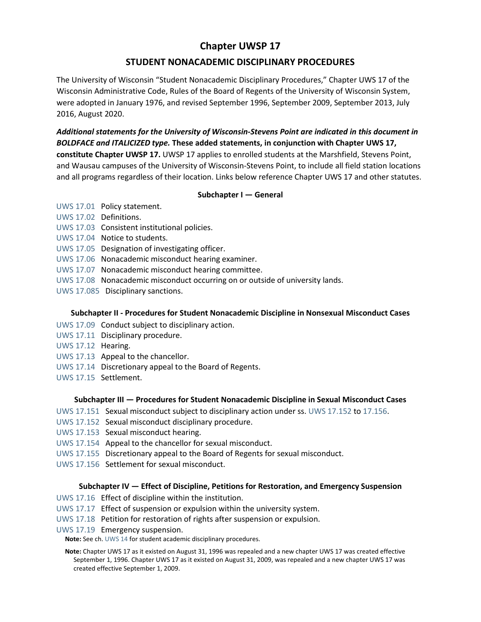# **Chapter UWSP 17**

# **STUDENT NONACADEMIC DISCIPLINARY PROCEDURES**

The University of Wisconsin "Student Nonacademic Disciplinary Procedures," Chapter UWS 17 of the Wisconsin Administrative Code, Rules of the Board of Regents of the University of Wisconsin System, were adopted in January 1976, and revised September 1996, September 2009, September 2013, July 2016, August 2020.

*Additional statements for the University of Wisconsin-Stevens Point are indicated in this document in BOLDFACE and ITALICIZED type.* **These added statements, in conjunction with Chapter UWS 17, constitute Chapter UWSP 17.** UWSP 17 applies to enrolled students at the Marshfield, Stevens Point, and Wausau campuses of the University of Wisconsin-Stevens Point, to include all field station locations and all programs regardless of their location. Links below reference Chapter UWS 17 and other statutes.

## **Subchapter I — General**

- [UWS 17.01](https://docs.legis.wisconsin.gov/document/administrativecode/UWS%2017.01) Policy statement.
- [UWS 17.02](https://docs.legis.wisconsin.gov/document/administrativecode/UWS%2017.02) Definitions.
- [UWS 17.03](https://docs.legis.wisconsin.gov/document/administrativecode/UWS%2017.03) Consistent institutional policies.
- [UWS 17.04](https://docs.legis.wisconsin.gov/document/administrativecode/UWS%2017.04) Notice to students.
- [UWS 17.05](https://docs.legis.wisconsin.gov/document/administrativecode/UWS%2017.05) Designation of investigating officer.
- [UWS 17.06](https://docs.legis.wisconsin.gov/document/administrativecode/UWS%2017.06) Nonacademic misconduct hearing examiner.
- [UWS 17.07](https://docs.legis.wisconsin.gov/document/administrativecode/UWS%2017.07) Nonacademic misconduct hearing committee.
- [UWS 17.08](https://docs.legis.wisconsin.gov/document/administrativecode/UWS%2017.08) Nonacademic misconduct occurring on or outside of university lands.
- [UWS 17.085](https://docs.legis.wisconsin.gov/document/administrativecode/UWS%2017.085) Disciplinary sanctions.

#### **Subchapter II - Procedures for Student Nonacademic Discipline in Nonsexual Misconduct Cases**

- [UWS 17.09](https://docs.legis.wisconsin.gov/document/administrativecode/UWS%2017.09) Conduct subject to disciplinary action.
- [UWS 17.11](https://docs.legis.wisconsin.gov/document/administrativecode/UWS%2017.11) Disciplinary procedure.
- [UWS 17.12](https://docs.legis.wisconsin.gov/document/administrativecode/UWS%2017.12) Hearing.
- [UWS 17.13](https://docs.legis.wisconsin.gov/document/administrativecode/UWS%2017.13) Appeal to the chancellor.
- [UWS 17.14](https://docs.legis.wisconsin.gov/document/administrativecode/UWS%2017.14) Discretionary appeal to the Board of Regents.
- [UWS 17.15](https://docs.legis.wisconsin.gov/document/administrativecode/UWS%2017.15) Settlement.

#### **Subchapter III — Procedures for Student Nonacademic Discipline in Sexual Misconduct Cases**

- [UWS 17.151](https://docs.legis.wisconsin.gov/document/administrativecode/UWS%2017.151) Sexual misconduct subject to disciplinary action under ss. [UWS 17.152](https://docs.legis.wisconsin.gov/document/administrativecode/UWS%2017.152) to [17.156.](https://docs.legis.wisconsin.gov/document/administrativecode/UWS%2017.156)
- [UWS 17.152](https://docs.legis.wisconsin.gov/document/administrativecode/UWS%2017.152) Sexual misconduct disciplinary procedure.
- [UWS 17.153](https://docs.legis.wisconsin.gov/document/administrativecode/UWS%2017.153) Sexual misconduct hearing.
- [UWS 17.154](https://docs.legis.wisconsin.gov/document/administrativecode/UWS%2017.154) Appeal to the chancellor for sexual misconduct.
- [UWS 17.155](https://docs.legis.wisconsin.gov/document/administrativecode/UWS%2017.155) Discretionary appeal to the Board of Regents for sexual misconduct.
- [UWS 17.156](https://docs.legis.wisconsin.gov/document/administrativecode/UWS%2017.156) Settlement for sexual misconduct.

#### **Subchapter IV — Effect of Discipline, Petitions for Restoration, and Emergency Suspension**

- [UWS 17.16](https://docs.legis.wisconsin.gov/document/administrativecode/UWS%2017.16) Effect of discipline within the institution.
- [UWS 17.17](https://docs.legis.wisconsin.gov/document/administrativecode/UWS%2017.17) Effect of suspension or expulsion within the university system.
- [UWS 17.18](https://docs.legis.wisconsin.gov/document/administrativecode/UWS%2017.18) Petition for restoration of rights after suspension or expulsion.
- [UWS 17.19](https://docs.legis.wisconsin.gov/document/administrativecode/UWS%2017.19) Emergency suspension.

**Note:** See ch. [UWS 14](https://docs.legis.wisconsin.gov/document/administrativecode/ch.%20UWS%2014) for student academic disciplinary procedures.

**Note:** Chapter UWS 17 as it existed on August 31, 1996 was repealed and a new chapter UWS 17 was created effective September 1, 1996. Chapter UWS 17 as it existed on August 31, 2009, was repealed and a new chapter UWS 17 was created effective September 1, 2009.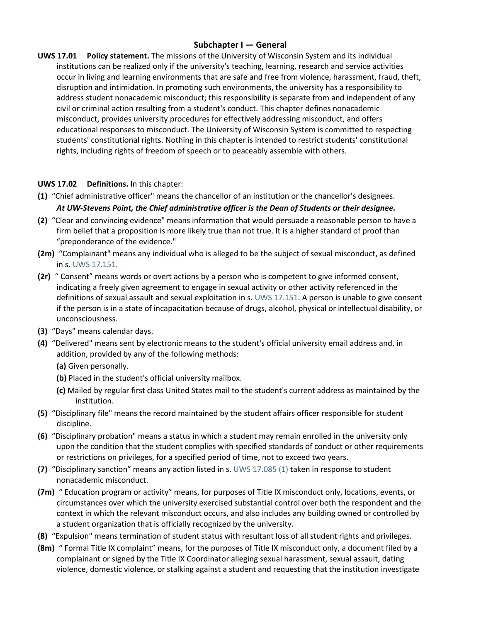# **Subchapter I — General**

**UWS 17.01 Policy statement.** The missions of the University of Wisconsin System and its individual institutions can be realized only if the university's teaching, learning, research and service activities occur in living and learning environments that are safe and free from violence, harassment, fraud, theft, disruption and intimidation. In promoting such environments, the university has a responsibility to address student nonacademic misconduct; this responsibility is separate from and independent of any civil or criminal action resulting from a student's conduct. This chapter defines nonacademic misconduct, provides university procedures for effectively addressing misconduct, and offers educational responses to misconduct. The University of Wisconsin System is committed to respecting students' constitutional rights. Nothing in this chapter is intended to restrict students' constitutional rights, including rights of freedom of speech or to peaceably assemble with others.

# **UWS 17.02 Definitions.** In this chapter:

- **(1)** "Chief administrative officer" means the chancellor of an institution or the chancellor's designees. *At UW-Stevens Point, the Chief administrative officer is the Dean of Students or their designee.*
- **(2)** "Clear and convincing evidence" means information that would persuade a reasonable person to have a firm belief that a proposition is more likely true than not true. It is a higher standard of proof than "preponderance of the evidence."
- **(2m)** "Complainant" means any individual who is alleged to be the subject of sexual misconduct, as defined in s. [UWS 17.151.](https://docs.legis.wisconsin.gov/document/administrativecode/UWS%2017.151)
- **(2r)** " Consent" means words or overt actions by a person who is competent to give informed consent, indicating a freely given agreement to engage in sexual activity or other activity referenced in the definitions of sexual assault and sexual exploitation in s. [UWS 17.151.](https://docs.legis.wisconsin.gov/document/administrativecode/UWS%2017.151) A person is unable to give consent if the person is in a state of incapacitation because of drugs, alcohol, physical or intellectual disability, or unconsciousness.
- **(3)** "Days" means calendar days.
- **(4)** "Delivered" means sent by electronic means to the student's official university email address and, in addition, provided by any of the following methods:
	- **(a)** Given personally.
	- **(b)** Placed in the student's official university mailbox.
	- **(c)** Mailed by regular first class United States mail to the student's current address as maintained by the institution.
- **(5)** "Disciplinary file" means the record maintained by the student affairs officer responsible for student discipline.
- **(6)** "Disciplinary probation" means a status in which a student may remain enrolled in the university only upon the condition that the student complies with specified standards of conduct or other requirements or restrictions on privileges, for a specified period of time, not to exceed two years.
- **(7)** "Disciplinary sanction" means any action listed in s. [UWS 17.085 \(1\)](https://docs.legis.wisconsin.gov/document/administrativecode/UWS%2017.085(1)) taken in response to student nonacademic misconduct.
- **(7m)** " Education program or activity" means, for purposes of Title IX misconduct only, locations, events, or circumstances over which the university exercised substantial control over both the respondent and the context in which the relevant misconduct occurs, and also includes any building owned or controlled by a student organization that is officially recognized by the university.
- **(8)** "Expulsion" means termination of student status with resultant loss of all student rights and privileges.
- **(8m)** " Formal Title IX complaint" means, for the purposes of Title IX misconduct only, a document filed by a complainant or signed by the Title IX Coordinator alleging sexual harassment, sexual assault, dating violence, domestic violence, or stalking against a student and requesting that the institution investigate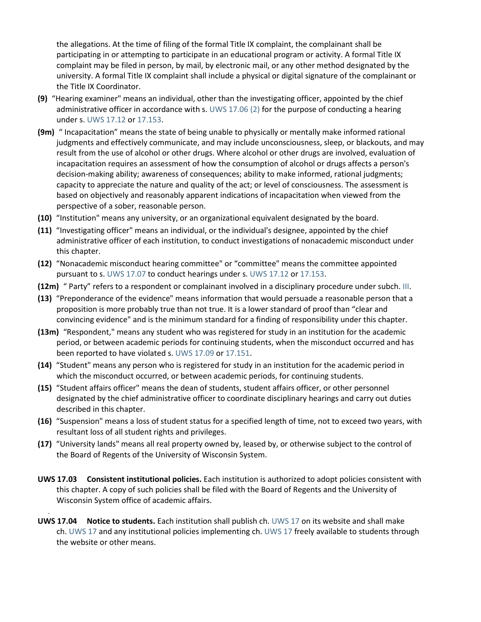the allegations. At the time of filing of the formal Title IX complaint, the complainant shall be participating in or attempting to participate in an educational program or activity. A formal Title IX complaint may be filed in person, by mail, by electronic mail, or any other method designated by the university. A formal Title IX complaint shall include a physical or digital signature of the complainant or the Title IX Coordinator.

- **(9)** "Hearing examiner" means an individual, other than the investigating officer, appointed by the chief administrative officer in accordance with s. [UWS 17.06 \(2\)](https://docs.legis.wisconsin.gov/document/administrativecode/UWS%2017.06(2)) for the purpose of conducting a hearing under s. [UWS 17.12](https://docs.legis.wisconsin.gov/document/administrativecode/UWS%2017.12) or [17.153.](https://docs.legis.wisconsin.gov/document/administrativecode/UWS%2017.153)
- **(9m)** " Incapacitation" means the state of being unable to physically or mentally make informed rational judgments and effectively communicate, and may include unconsciousness, sleep, or blackouts, and may result from the use of alcohol or other drugs. Where alcohol or other drugs are involved, evaluation of incapacitation requires an assessment of how the consumption of alcohol or drugs affects a person's decision-making ability; awareness of consequences; ability to make informed, rational judgments; capacity to appreciate the nature and quality of the act; or level of consciousness. The assessment is based on objectively and reasonably apparent indications of incapacitation when viewed from the perspective of a sober, reasonable person.
- **(10)** "Institution" means any university, or an organizational equivalent designated by the board.
- **(11)** "Investigating officer" means an individual, or the individual's designee, appointed by the chief administrative officer of each institution, to conduct investigations of nonacademic misconduct under this chapter.
- **(12)** "Nonacademic misconduct hearing committee" or "committee" means the committee appointed pursuant to s. [UWS 17.07](https://docs.legis.wisconsin.gov/document/administrativecode/UWS%2017.07) to conduct hearings under s. [UWS 17.12](https://docs.legis.wisconsin.gov/document/administrativecode/UWS%2017.12) or [17.153.](https://docs.legis.wisconsin.gov/document/administrativecode/UWS%2017.153)
- **(12m)** " Party" refers to a respondent or complainant involved in a disciplinary procedure under subch. [III.](https://docs.legis.wisconsin.gov/document/administrativecode/subch.%20III%20of%20ch.%20UWS%2017)
- **(13)** "Preponderance of the evidence" means information that would persuade a reasonable person that a proposition is more probably true than not true. It is a lower standard of proof than "clear and convincing evidence" and is the minimum standard for a finding of responsibility under this chapter.
- **(13m)** "Respondent," means any student who was registered for study in an institution for the academic period, or between academic periods for continuing students, when the misconduct occurred and has been reported to have violated s. [UWS 17.09](https://docs.legis.wisconsin.gov/document/administrativecode/UWS%2017.09) or [17.151.](https://docs.legis.wisconsin.gov/document/administrativecode/UWS%2017.151)
- **(14)** "Student" means any person who is registered for study in an institution for the academic period in which the misconduct occurred, or between academic periods, for continuing students.
- **(15)** "Student affairs officer" means the dean of students, student affairs officer, or other personnel designated by the chief administrative officer to coordinate disciplinary hearings and carry out duties described in this chapter.
- **(16)** "Suspension" means a loss of student status for a specified length of time, not to exceed two years, with resultant loss of all student rights and privileges.
- **(17)** "University lands" means all real property owned by, leased by, or otherwise subject to the control of the Board of Regents of the University of Wisconsin System.
- **UWS 17.03 Consistent institutional policies.** Each institution is authorized to adopt policies consistent with this chapter. A copy of such policies shall be filed with the Board of Regents and the University of Wisconsin System office of academic affairs.
- **UWS 17.04 Notice to students.** Each institution shall publish ch. [UWS 17](https://docs.legis.wisconsin.gov/document/administrativecode/ch.%20UWS%2017) on its website and shall make ch. [UWS 17](https://docs.legis.wisconsin.gov/document/administrativecode/ch.%20UWS%2017) and any institutional policies implementing ch. [UWS 17](https://docs.legis.wisconsin.gov/document/administrativecode/ch.%20UWS%2017) freely available to students through the website or other means.

.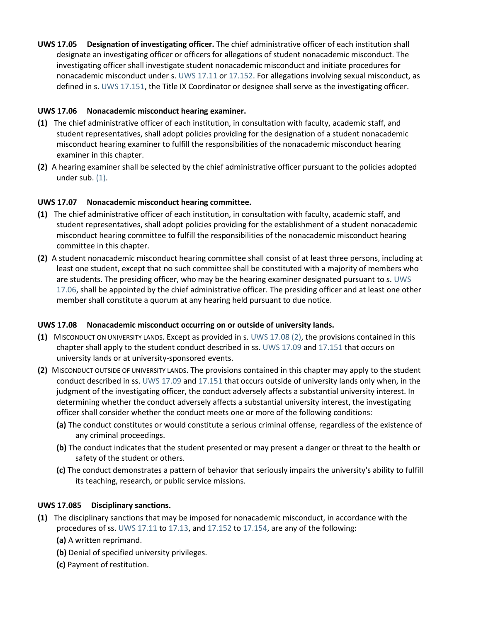**UWS 17.05 Designation of investigating officer.** The chief administrative officer of each institution shall designate an investigating officer or officers for allegations of student nonacademic misconduct. The investigating officer shall investigate student nonacademic misconduct and initiate procedures for nonacademic misconduct under s. [UWS 17.11](https://docs.legis.wisconsin.gov/document/administrativecode/UWS%2017.11) or [17.152.](https://docs.legis.wisconsin.gov/document/administrativecode/UWS%2017.152) For allegations involving sexual misconduct, as defined in s. [UWS 17.151,](https://docs.legis.wisconsin.gov/document/administrativecode/UWS%2017.151) the Title IX Coordinator or designee shall serve as the investigating officer.

# **UWS 17.06 Nonacademic misconduct hearing examiner.**

- **(1)** The chief administrative officer of each institution, in consultation with faculty, academic staff, and student representatives, shall adopt policies providing for the designation of a student nonacademic misconduct hearing examiner to fulfill the responsibilities of the nonacademic misconduct hearing examiner in this chapter.
- **(2)** A hearing examiner shall be selected by the chief administrative officer pursuant to the policies adopted under sub. [\(1\).](https://docs.legis.wisconsin.gov/document/administrativecode/UWS%2017.06(1))

## **UWS 17.07 Nonacademic misconduct hearing committee.**

- **(1)** The chief administrative officer of each institution, in consultation with faculty, academic staff, and student representatives, shall adopt policies providing for the establishment of a student nonacademic misconduct hearing committee to fulfill the responsibilities of the nonacademic misconduct hearing committee in this chapter.
- **(2)** A student nonacademic misconduct hearing committee shall consist of at least three persons, including at least one student, except that no such committee shall be constituted with a majority of members who are students. The presiding officer, who may be the hearing examiner designated pursuant to s. [UWS](https://docs.legis.wisconsin.gov/document/administrativecode/UWS%2017.06)  [17.06,](https://docs.legis.wisconsin.gov/document/administrativecode/UWS%2017.06) shall be appointed by the chief administrative officer. The presiding officer and at least one other member shall constitute a quorum at any hearing held pursuant to due notice.

#### **UWS 17.08 Nonacademic misconduct occurring on or outside of university lands.**

- **(1)** MISCONDUCT ON UNIVERSITY LANDS. Except as provided in s. [UWS 17.08 \(2\),](https://docs.legis.wisconsin.gov/document/administrativecode/UWS%2017.08(2)) the provisions contained in this chapter shall apply to the student conduct described in ss. [UWS 17.09](https://docs.legis.wisconsin.gov/document/administrativecode/UWS%2017.09) and [17.151](https://docs.legis.wisconsin.gov/document/administrativecode/UWS%2017.151) that occurs on university lands or at university-sponsored events.
- **(2)** MISCONDUCT OUTSIDE OF UNIVERSITY LANDS. The provisions contained in this chapter may apply to the student conduct described in ss. [UWS 17.09](https://docs.legis.wisconsin.gov/document/administrativecode/UWS%2017.09) and [17.151](https://docs.legis.wisconsin.gov/document/administrativecode/UWS%2017.151) that occurs outside of university lands only when, in the judgment of the investigating officer, the conduct adversely affects a substantial university interest. In determining whether the conduct adversely affects a substantial university interest, the investigating officer shall consider whether the conduct meets one or more of the following conditions:
	- **(a)** The conduct constitutes or would constitute a serious criminal offense, regardless of the existence of any criminal proceedings.
	- **(b)** The conduct indicates that the student presented or may present a danger or threat to the health or safety of the student or others.
	- **(c)** The conduct demonstrates a pattern of behavior that seriously impairs the university's ability to fulfill its teaching, research, or public service missions.

#### **UWS 17.085 Disciplinary sanctions.**

- **(1)** The disciplinary sanctions that may be imposed for nonacademic misconduct, in accordance with the procedures of ss. [UWS 17.11](https://docs.legis.wisconsin.gov/document/administrativecode/UWS%2017.11) to [17.13,](https://docs.legis.wisconsin.gov/document/administrativecode/UWS%2017.13) and [17.152](https://docs.legis.wisconsin.gov/document/administrativecode/UWS%2017.152) to [17.154,](https://docs.legis.wisconsin.gov/document/administrativecode/UWS%2017.154) are any of the following:
	- **(a)** A written reprimand.
	- **(b)** Denial of specified university privileges.
	- **(c)** Payment of restitution.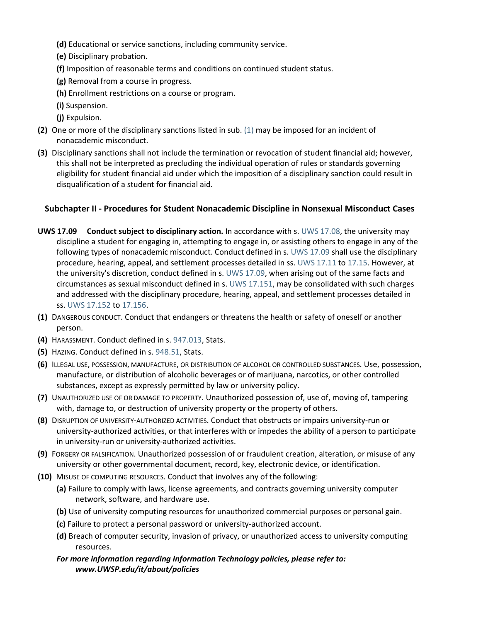- **(d)** Educational or service sanctions, including community service.
- **(e)** Disciplinary probation.
- **(f)** Imposition of reasonable terms and conditions on continued student status.
- **(g)** Removal from a course in progress.
- **(h)** Enrollment restrictions on a course or program.
- **(i)** Suspension.
- **(j)** Expulsion.
- **(2)** One or more of the disciplinary sanctions listed in sub. [\(1\)](https://docs.legis.wisconsin.gov/document/administrativecode/UWS%2017.085(1)) may be imposed for an incident of nonacademic misconduct.
- **(3)** Disciplinary sanctions shall not include the termination or revocation of student financial aid; however, this shall not be interpreted as precluding the individual operation of rules or standards governing eligibility for student financial aid under which the imposition of a disciplinary sanction could result in disqualification of a student for financial aid.

# **Subchapter II - Procedures for Student Nonacademic Discipline in Nonsexual Misconduct Cases**

- **UWS 17.09 Conduct subject to disciplinary action.** In accordance with s. [UWS 17.08,](https://docs.legis.wisconsin.gov/document/administrativecode/UWS%2017.08) the university may discipline a student for engaging in, attempting to engage in, or assisting others to engage in any of the following types of nonacademic misconduct. Conduct defined in s. [UWS 17.09](https://docs.legis.wisconsin.gov/document/administrativecode/UWS%2017.09) shall use the disciplinary procedure, hearing, appeal, and settlement processes detailed in ss. [UWS 17.11](https://docs.legis.wisconsin.gov/document/administrativecode/UWS%2017.11) to [17.15.](https://docs.legis.wisconsin.gov/document/administrativecode/UWS%2017.15) However, at the university's discretion, conduct defined in s. [UWS 17.09,](https://docs.legis.wisconsin.gov/document/administrativecode/UWS%2017.09) when arising out of the same facts and circumstances as sexual misconduct defined in s. [UWS 17.151,](https://docs.legis.wisconsin.gov/document/administrativecode/UWS%2017.151) may be consolidated with such charges and addressed with the disciplinary procedure, hearing, appeal, and settlement processes detailed in ss. [UWS 17.152](https://docs.legis.wisconsin.gov/document/administrativecode/UWS%2017.152) to [17.156.](https://docs.legis.wisconsin.gov/document/administrativecode/UWS%2017.156)
- **(1)** DANGEROUS CONDUCT. Conduct that endangers or threatens the health or safety of oneself or another person.
- **(4)** HARASSMENT. Conduct defined in s. [947.013,](https://docs.legis.wisconsin.gov/document/statutes/947.013) Stats.
- **(5)** HAZING. Conduct defined in s. [948.51,](https://docs.legis.wisconsin.gov/document/statutes/948.51) Stats.
- **(6)** ILLEGAL USE, POSSESSION, MANUFACTURE, OR DISTRIBUTION OF ALCOHOL OR CONTROLLED SUBSTANCES. Use, possession, manufacture, or distribution of alcoholic beverages or of marijuana, narcotics, or other controlled substances, except as expressly permitted by law or university policy.
- **(7)** UNAUTHORIZED USE OF OR DAMAGE TO PROPERTY. Unauthorized possession of, use of, moving of, tampering with, damage to, or destruction of university property or the property of others.
- **(8)** DISRUPTION OF UNIVERSITY-AUTHORIZED ACTIVITIES. Conduct that obstructs or impairs university-run or university-authorized activities, or that interferes with or impedes the ability of a person to participate in university-run or university-authorized activities.
- **(9)** FORGERY OR FALSIFICATION. Unauthorized possession of or fraudulent creation, alteration, or misuse of any university or other governmental document, record, key, electronic device, or identification.
- **(10)** MISUSE OF COMPUTING RESOURCES. Conduct that involves any of the following:
	- **(a)** Failure to comply with laws, license agreements, and contracts governing university computer network, software, and hardware use.
	- **(b)** Use of university computing resources for unauthorized commercial purposes or personal gain.
	- **(c)** Failure to protect a personal password or university-authorized account.
	- **(d)** Breach of computer security, invasion of privacy, or unauthorized access to university computing resources.
	- *For more information regarding Information Technology policies, please refer to: www.UWSP.edu/it/about/policies*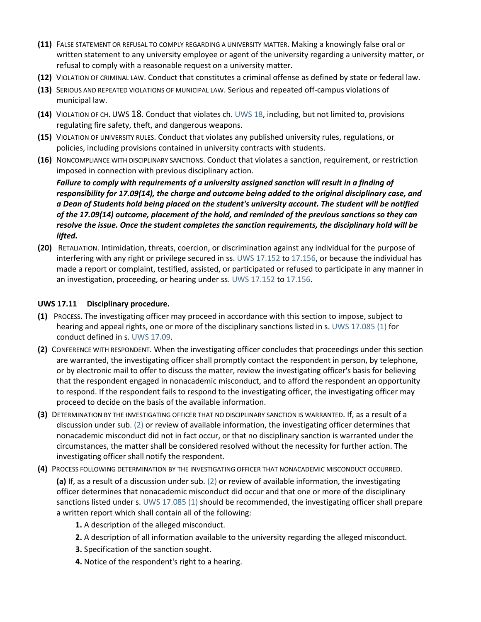- **(11)** FALSE STATEMENT OR REFUSAL TO COMPLY REGARDING A UNIVERSITY MATTER. Making a knowingly false oral or written statement to any university employee or agent of the university regarding a university matter, or refusal to comply with a reasonable request on a university matter.
- **(12)** VIOLATION OF CRIMINAL LAW. Conduct that constitutes a criminal offense as defined by state or federal law.
- **(13)** SERIOUS AND REPEATED VIOLATIONS OF MUNICIPAL LAW. Serious and repeated off-campus violations of municipal law.
- **(14)** VIOLATION OF CH. UWS 18. Conduct that violates ch. [UWS 18,](https://docs.legis.wisconsin.gov/document/administrativecode/ch.%20UWS%2018) including, but not limited to, provisions regulating fire safety, theft, and dangerous weapons.
- **(15)** VIOLATION OF UNIVERSITY RULES. Conduct that violates any published university rules, regulations, or policies, including provisions contained in university contracts with students.
- **(16)** NONCOMPLIANCE WITH DISCIPLINARY SANCTIONS. Conduct that violates a sanction, requirement, or restriction imposed in connection with previous disciplinary action.

*Failure to comply with requirements of a university assigned sanction will result in a finding of responsibility for 17.09(14), the charge and outcome being added to the original disciplinary case, and a Dean of Students hold being placed on the student's university account. The student will be notified of the 17.09(14) outcome, placement of the hold, and reminded of the previous sanctions so they can resolve the issue. Once the student completes the sanction requirements, the disciplinary hold will be lifted.*

**(20)** RETALIATION. Intimidation, threats, coercion, or discrimination against any individual for the purpose of interfering with any right or privilege secured in ss. [UWS 17.152](https://docs.legis.wisconsin.gov/document/administrativecode/UWS%2017.152) to [17.156,](https://docs.legis.wisconsin.gov/document/administrativecode/UWS%2017.156) or because the individual has made a report or complaint, testified, assisted, or participated or refused to participate in any manner in an investigation, proceeding, or hearing under ss. [UWS 17.152](https://docs.legis.wisconsin.gov/document/administrativecode/UWS%2017.152) to [17.156.](https://docs.legis.wisconsin.gov/document/administrativecode/UWS%2017.156)

## **UWS 17.11 Disciplinary procedure.**

- **(1)** PROCESS. The investigating officer may proceed in accordance with this section to impose, subject to hearing and appeal rights, one or more of the disciplinary sanctions listed in s. [UWS 17.085 \(1\)](https://docs.legis.wisconsin.gov/document/administrativecode/UWS%2017.085(1)) for conduct defined in s. [UWS 17.09.](https://docs.legis.wisconsin.gov/document/administrativecode/UWS%2017.09)
- **(2)** CONFERENCE WITH RESPONDENT. When the investigating officer concludes that proceedings under this section are warranted, the investigating officer shall promptly contact the respondent in person, by telephone, or by electronic mail to offer to discuss the matter, review the investigating officer's basis for believing that the respondent engaged in nonacademic misconduct, and to afford the respondent an opportunity to respond. If the respondent fails to respond to the investigating officer, the investigating officer may proceed to decide on the basis of the available information.
- **(3)** DETERMINATION BY THE INVESTIGATING OFFICER THAT NO DISCIPLINARY SANCTION IS WARRANTED. If, as a result of a discussion under sub. [\(2\)](https://docs.legis.wisconsin.gov/document/administrativecode/UWS%2017.11(2)) or review of available information, the investigating officer determines that nonacademic misconduct did not in fact occur, or that no disciplinary sanction is warranted under the circumstances, the matter shall be considered resolved without the necessity for further action. The investigating officer shall notify the respondent.
- **(4)** PROCESS FOLLOWING DETERMINATION BY THE INVESTIGATING OFFICER THAT NONACADEMIC MISCONDUCT OCCURRED.

**(a)** If, as a result of a discussion under sub. [\(2\)](https://docs.legis.wisconsin.gov/document/administrativecode/UWS%2017.11(2)) or review of available information, the investigating officer determines that nonacademic misconduct did occur and that one or more of the disciplinary sanctions listed under s. [UWS 17.085 \(1\)](https://docs.legis.wisconsin.gov/document/administrativecode/UWS%2017.085(1)) should be recommended, the investigating officer shall prepare a written report which shall contain all of the following:

- **1.** A description of the alleged misconduct.
- **2.** A description of all information available to the university regarding the alleged misconduct.
- **3.** Specification of the sanction sought.
- **4.** Notice of the respondent's right to a hearing.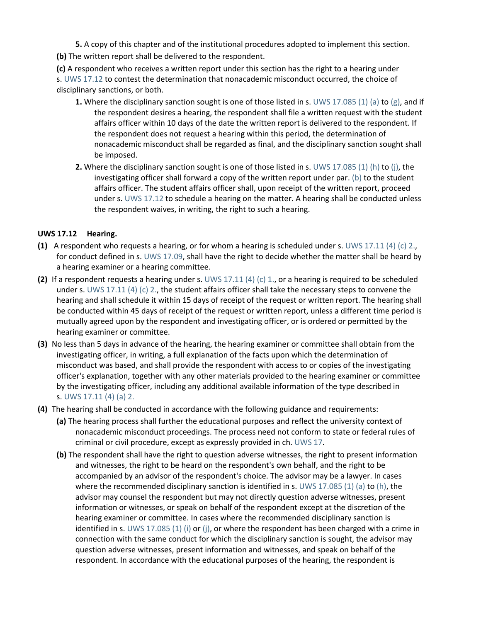- **5.** A copy of this chapter and of the institutional procedures adopted to implement this section.
- **(b)** The written report shall be delivered to the respondent.

**(c)** A respondent who receives a written report under this section has the right to a hearing under s. [UWS 17.12](https://docs.legis.wisconsin.gov/document/administrativecode/UWS%2017.12) to contest the determination that nonacademic misconduct occurred, the choice of disciplinary sanctions, or both.

- **1.** Where the disciplinary sanction sought is one of those listed in s. [UWS 17.085 \(1\) \(a\)](https://docs.legis.wisconsin.gov/document/administrativecode/UWS%2017.085(1)(a)) to [\(g\),](https://docs.legis.wisconsin.gov/document/administrativecode/UWS%2017.085(1)(g)) and if the respondent desires a hearing, the respondent shall file a written request with the student affairs officer within 10 days of the date the written report is delivered to the respondent. If the respondent does not request a hearing within this period, the determination of nonacademic misconduct shall be regarded as final, and the disciplinary sanction sought shall be imposed.
- **2.** Where the disciplinary sanction sought is one of those listed in s. [UWS 17.085 \(1\) \(h\)](https://docs.legis.wisconsin.gov/document/administrativecode/UWS%2017.085(1)(h)) to [\(j\),](https://docs.legis.wisconsin.gov/document/administrativecode/UWS%2017.085(1)(j)) the investigating officer shall forward a copy of the written report under par. [\(b\)](https://docs.legis.wisconsin.gov/document/administrativecode/UWS%2017.11(4)(b)) to the student affairs officer. The student affairs officer shall, upon receipt of the written report, proceed under s. [UWS 17.12](https://docs.legis.wisconsin.gov/document/administrativecode/UWS%2017.12) to schedule a hearing on the matter. A hearing shall be conducted unless the respondent waives, in writing, the right to such a hearing.

#### **UWS 17.12 Hearing.**

- **(1)** A respondent who requests a hearing, or for whom a hearing is scheduled under s. [UWS 17.11 \(4\) \(c\) 2.,](https://docs.legis.wisconsin.gov/document/administrativecode/UWS%2017.11(4)(c)2.) for conduct defined in s. [UWS 17.09,](https://docs.legis.wisconsin.gov/document/administrativecode/UWS%2017.09) shall have the right to decide whether the matter shall be heard by a hearing examiner or a hearing committee.
- **(2)** If a respondent requests a hearing under s. [UWS 17.11 \(4\) \(c\) 1.,](https://docs.legis.wisconsin.gov/document/administrativecode/UWS%2017.11(4)(c)1.) or a hearing is required to be scheduled under s. [UWS 17.11 \(4\) \(c\) 2.,](https://docs.legis.wisconsin.gov/document/administrativecode/UWS%2017.11(4)(c)2.) the student affairs officer shall take the necessary steps to convene the hearing and shall schedule it within 15 days of receipt of the request or written report. The hearing shall be conducted within 45 days of receipt of the request or written report, unless a different time period is mutually agreed upon by the respondent and investigating officer, or is ordered or permitted by the hearing examiner or committee.
- **(3)** No less than 5 days in advance of the hearing, the hearing examiner or committee shall obtain from the investigating officer, in writing, a full explanation of the facts upon which the determination of misconduct was based, and shall provide the respondent with access to or copies of the investigating officer's explanation, together with any other materials provided to the hearing examiner or committee by the investigating officer, including any additional available information of the type described in s. [UWS 17.11 \(4\) \(a\) 2.](https://docs.legis.wisconsin.gov/document/administrativecode/UWS%2017.11(4)(a)2.)
- **(4)** The hearing shall be conducted in accordance with the following guidance and requirements:
	- **(a)** The hearing process shall further the educational purposes and reflect the university context of nonacademic misconduct proceedings. The process need not conform to state or federal rules of criminal or civil procedure, except as expressly provided in ch. [UWS 17.](https://docs.legis.wisconsin.gov/document/administrativecode/ch.%20UWS%2017)
	- **(b)** The respondent shall have the right to question adverse witnesses, the right to present information and witnesses, the right to be heard on the respondent's own behalf, and the right to be accompanied by an advisor of the respondent's choice. The advisor may be a lawyer. In cases where the recommended disciplinary sanction is identified in s. [UWS 17.085 \(1\) \(a\)](https://docs.legis.wisconsin.gov/document/administrativecode/UWS%2017.085(1)(a)) to [\(h\),](https://docs.legis.wisconsin.gov/document/administrativecode/UWS%2017.085(1)(h)) the advisor may counsel the respondent but may not directly question adverse witnesses, present information or witnesses, or speak on behalf of the respondent except at the discretion of the hearing examiner or committee. In cases where the recommended disciplinary sanction is identified in s. [UWS 17.085 \(1\) \(i\)](https://docs.legis.wisconsin.gov/document/administrativecode/UWS%2017.085(1)(i)) or [\(j\),](https://docs.legis.wisconsin.gov/document/administrativecode/UWS%2017.085(1)(j)) or where the respondent has been charged with a crime in connection with the same conduct for which the disciplinary sanction is sought, the advisor may question adverse witnesses, present information and witnesses, and speak on behalf of the respondent. In accordance with the educational purposes of the hearing, the respondent is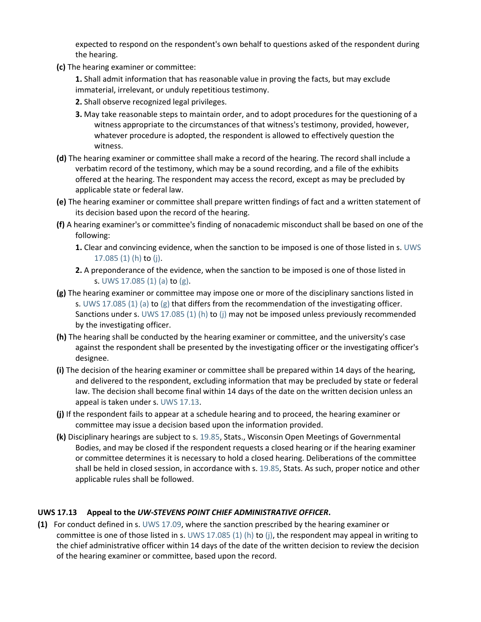expected to respond on the respondent's own behalf to questions asked of the respondent during the hearing.

**(c)** The hearing examiner or committee:

**1.** Shall admit information that has reasonable value in proving the facts, but may exclude immaterial, irrelevant, or unduly repetitious testimony.

- **2.** Shall observe recognized legal privileges.
- **3.** May take reasonable steps to maintain order, and to adopt procedures for the questioning of a witness appropriate to the circumstances of that witness's testimony, provided, however, whatever procedure is adopted, the respondent is allowed to effectively question the witness.
- **(d)** The hearing examiner or committee shall make a record of the hearing. The record shall include a verbatim record of the testimony, which may be a sound recording, and a file of the exhibits offered at the hearing. The respondent may access the record, except as may be precluded by applicable state or federal law.
- **(e)** The hearing examiner or committee shall prepare written findings of fact and a written statement of its decision based upon the record of the hearing.
- **(f)** A hearing examiner's or committee's finding of nonacademic misconduct shall be based on one of the following:
	- **1.** Clear and convincing evidence, when the sanction to be imposed is one of those listed in s. [UWS](https://docs.legis.wisconsin.gov/document/administrativecode/UWS%2017.085(1)(h))  [17.085 \(1\) \(h\)](https://docs.legis.wisconsin.gov/document/administrativecode/UWS%2017.085(1)(h)) to [\(j\).](https://docs.legis.wisconsin.gov/document/administrativecode/UWS%2017.085(1)(j))
	- **2.** A preponderance of the evidence, when the sanction to be imposed is one of those listed in s. [UWS 17.085 \(1\) \(a\)](https://docs.legis.wisconsin.gov/document/administrativecode/UWS%2017.085(1)(a)) to [\(g\).](https://docs.legis.wisconsin.gov/document/administrativecode/UWS%2017.085(1)(g))
- **(g)** The hearing examiner or committee may impose one or more of the disciplinary sanctions listed in s. [UWS 17.085 \(1\) \(a\)](https://docs.legis.wisconsin.gov/document/administrativecode/UWS%2017.085(1)(a)) to [\(g\)](https://docs.legis.wisconsin.gov/document/administrativecode/UWS%2017.085(1)(g)) that differs from the recommendation of the investigating officer. Sanctions under s. [UWS 17.085 \(1\) \(h\)](https://docs.legis.wisconsin.gov/document/administrativecode/UWS%2017.085(1)(h)) to [\(j\)](https://docs.legis.wisconsin.gov/document/administrativecode/UWS%2017.085(1)(j)) may not be imposed unless previously recommended by the investigating officer.
- **(h)** The hearing shall be conducted by the hearing examiner or committee, and the university's case against the respondent shall be presented by the investigating officer or the investigating officer's designee.
- **(i)** The decision of the hearing examiner or committee shall be prepared within 14 days of the hearing, and delivered to the respondent, excluding information that may be precluded by state or federal law. The decision shall become final within 14 days of the date on the written decision unless an appeal is taken under s. [UWS 17.13.](https://docs.legis.wisconsin.gov/document/administrativecode/UWS%2017.13)
- **(j)** If the respondent fails to appear at a schedule hearing and to proceed, the hearing examiner or committee may issue a decision based upon the information provided.
- **(k)** Disciplinary hearings are subject to s. [19.85,](https://docs.legis.wisconsin.gov/document/statutes/19.85) Stats., Wisconsin Open Meetings of Governmental Bodies, and may be closed if the respondent requests a closed hearing or if the hearing examiner or committee determines it is necessary to hold a closed hearing. Deliberations of the committee shall be held in closed session, in accordance with s. [19.85,](https://docs.legis.wisconsin.gov/document/statutes/19.85) Stats. As such, proper notice and other applicable rules shall be followed.

# **UWS 17.13 Appeal to the** *UW-STEVENS POINT CHIEF ADMINISTRATIVE OFFICER***.**

**(1)** For conduct defined in s. [UWS 17.09,](https://docs.legis.wisconsin.gov/document/administrativecode/UWS%2017.09) where the sanction prescribed by the hearing examiner or committee is one of those listed in s. [UWS 17.085 \(1\) \(h\)](https://docs.legis.wisconsin.gov/document/administrativecode/UWS%2017.085(1)(h)) to [\(j\),](https://docs.legis.wisconsin.gov/document/administrativecode/UWS%2017.085(1)(j)) the respondent may appeal in writing to the chief administrative officer within 14 days of the date of the written decision to review the decision of the hearing examiner or committee, based upon the record.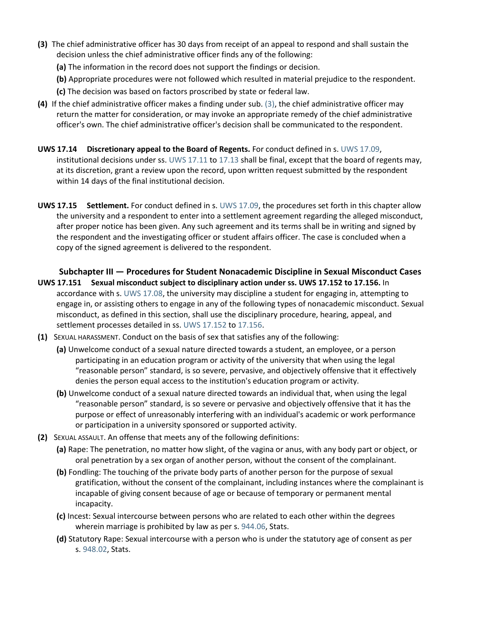- **(3)** The chief administrative officer has 30 days from receipt of an appeal to respond and shall sustain the decision unless the chief administrative officer finds any of the following:
	- **(a)** The information in the record does not support the findings or decision.
	- **(b)** Appropriate procedures were not followed which resulted in material prejudice to the respondent.
	- **(c)** The decision was based on factors proscribed by state or federal law.
- **(4)** If the chief administrative officer makes a finding under sub. [\(3\),](https://docs.legis.wisconsin.gov/document/administrativecode/UWS%2017.13(3)) the chief administrative officer may return the matter for consideration, or may invoke an appropriate remedy of the chief administrative officer's own. The chief administrative officer's decision shall be communicated to the respondent.
- **UWS 17.14 Discretionary appeal to the Board of Regents.** For conduct defined in s. [UWS 17.09,](https://docs.legis.wisconsin.gov/document/administrativecode/UWS%2017.09) institutional decisions under ss. [UWS 17.11](https://docs.legis.wisconsin.gov/document/administrativecode/UWS%2017.11) to [17.13](https://docs.legis.wisconsin.gov/document/administrativecode/UWS%2017.13) shall be final, except that the board of regents may, at its discretion, grant a review upon the record, upon written request submitted by the respondent within 14 days of the final institutional decision.
- **UWS 17.15 Settlement.** For conduct defined in s. [UWS 17.09,](https://docs.legis.wisconsin.gov/document/administrativecode/UWS%2017.09) the procedures set forth in this chapter allow the university and a respondent to enter into a settlement agreement regarding the alleged misconduct, after proper notice has been given. Any such agreement and its terms shall be in writing and signed by the respondent and the investigating officer or student affairs officer. The case is concluded when a copy of the signed agreement is delivered to the respondent.

**Subchapter III — Procedures for Student Nonacademic Discipline in Sexual Misconduct Cases**

- **UWS 17.151 Sexual misconduct subject to disciplinary action under ss. UWS 17.152 to 17.156.** In accordance with s. [UWS 17.08,](https://docs.legis.wisconsin.gov/document/administrativecode/UWS%2017.08) the university may discipline a student for engaging in, attempting to engage in, or assisting others to engage in any of the following types of nonacademic misconduct. Sexual misconduct, as defined in this section, shall use the disciplinary procedure, hearing, appeal, and settlement processes detailed in ss. [UWS 17.152](https://docs.legis.wisconsin.gov/document/administrativecode/UWS%2017.152) to [17.156.](https://docs.legis.wisconsin.gov/document/administrativecode/UWS%2017.156)
- **(1)** SEXUAL HARASSMENT. Conduct on the basis of sex that satisfies any of the following:
	- **(a)** Unwelcome conduct of a sexual nature directed towards a student, an employee, or a person participating in an education program or activity of the university that when using the legal "reasonable person" standard, is so severe, pervasive, and objectively offensive that it effectively denies the person equal access to the institution's education program or activity.
	- **(b)** Unwelcome conduct of a sexual nature directed towards an individual that, when using the legal "reasonable person" standard, is so severe or pervasive and objectively offensive that it has the purpose or effect of unreasonably interfering with an individual's academic or work performance or participation in a university sponsored or supported activity.
- **(2)** SEXUAL ASSAULT. An offense that meets any of the following definitions:
	- **(a)** Rape: The penetration, no matter how slight, of the vagina or anus, with any body part or object, or oral penetration by a sex organ of another person, without the consent of the complainant.
	- **(b)** Fondling: The touching of the private body parts of another person for the purpose of sexual gratification, without the consent of the complainant, including instances where the complainant is incapable of giving consent because of age or because of temporary or permanent mental incapacity.
	- **(c)** Incest: Sexual intercourse between persons who are related to each other within the degrees wherein marriage is prohibited by law as per s. [944.06,](https://docs.legis.wisconsin.gov/document/statutes/944.06) Stats.
	- **(d)** Statutory Rape: Sexual intercourse with a person who is under the statutory age of consent as per s. [948.02,](https://docs.legis.wisconsin.gov/document/statutes/948.02) Stats.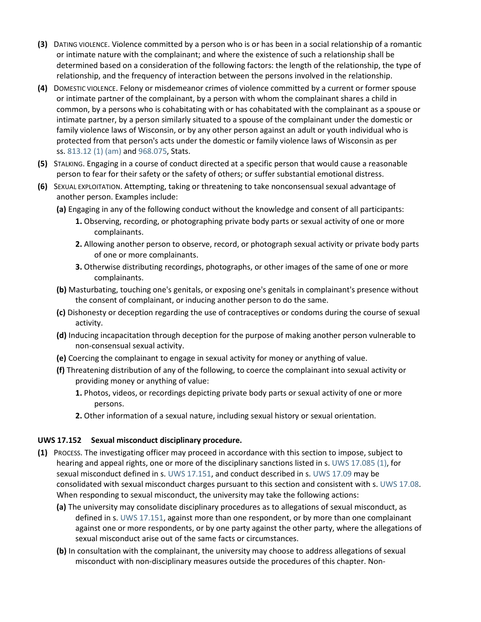- **(3)** DATING VIOLENCE. Violence committed by a person who is or has been in a social relationship of a romantic or intimate nature with the complainant; and where the existence of such a relationship shall be determined based on a consideration of the following factors: the length of the relationship, the type of relationship, and the frequency of interaction between the persons involved in the relationship.
- **(4)** DOMESTIC VIOLENCE. Felony or misdemeanor crimes of violence committed by a current or former spouse or intimate partner of the complainant, by a person with whom the complainant shares a child in common, by a persons who is cohabitating with or has cohabitated with the complainant as a spouse or intimate partner, by a person similarly situated to a spouse of the complainant under the domestic or family violence laws of Wisconsin, or by any other person against an adult or youth individual who is protected from that person's acts under the domestic or family violence laws of Wisconsin as per ss. [813.12 \(1\) \(am\)](https://docs.legis.wisconsin.gov/document/statutes/813.12(1)(am)) and [968.075,](https://docs.legis.wisconsin.gov/document/statutes/968.075) Stats.
- **(5)** STALKING. Engaging in a course of conduct directed at a specific person that would cause a reasonable person to fear for their safety or the safety of others; or suffer substantial emotional distress.
- **(6)** SEXUAL EXPLOITATION. Attempting, taking or threatening to take nonconsensual sexual advantage of another person. Examples include:
	- **(a)** Engaging in any of the following conduct without the knowledge and consent of all participants:
		- **1.** Observing, recording, or photographing private body parts or sexual activity of one or more complainants.
		- **2.** Allowing another person to observe, record, or photograph sexual activity or private body parts of one or more complainants.
		- **3.** Otherwise distributing recordings, photographs, or other images of the same of one or more complainants.
	- **(b)** Masturbating, touching one's genitals, or exposing one's genitals in complainant's presence without the consent of complainant, or inducing another person to do the same.
	- **(c)** Dishonesty or deception regarding the use of contraceptives or condoms during the course of sexual activity.
	- **(d)** Inducing incapacitation through deception for the purpose of making another person vulnerable to non-consensual sexual activity.
	- **(e)** Coercing the complainant to engage in sexual activity for money or anything of value.
	- **(f)** Threatening distribution of any of the following, to coerce the complainant into sexual activity or providing money or anything of value:
		- **1.** Photos, videos, or recordings depicting private body parts or sexual activity of one or more persons.
		- **2.** Other information of a sexual nature, including sexual history or sexual orientation.

# **UWS 17.152 Sexual misconduct disciplinary procedure.**

- **(1)** PROCESS. The investigating officer may proceed in accordance with this section to impose, subject to hearing and appeal rights, one or more of the disciplinary sanctions listed in s. [UWS 17.085 \(1\),](https://docs.legis.wisconsin.gov/document/administrativecode/UWS%2017.085(1)) for sexual misconduct defined in s. [UWS 17.151,](https://docs.legis.wisconsin.gov/document/administrativecode/UWS%2017.151) and conduct described in s. [UWS 17.09](https://docs.legis.wisconsin.gov/document/administrativecode/UWS%2017.09) may be consolidated with sexual misconduct charges pursuant to this section and consistent with s. [UWS 17.08.](https://docs.legis.wisconsin.gov/document/administrativecode/UWS%2017.08) When responding to sexual misconduct, the university may take the following actions:
	- **(a)** The university may consolidate disciplinary procedures as to allegations of sexual misconduct, as defined in s. [UWS 17.151,](https://docs.legis.wisconsin.gov/document/administrativecode/UWS%2017.151) against more than one respondent, or by more than one complainant against one or more respondents, or by one party against the other party, where the allegations of sexual misconduct arise out of the same facts or circumstances.
	- **(b)** In consultation with the complainant, the university may choose to address allegations of sexual misconduct with non-disciplinary measures outside the procedures of this chapter. Non-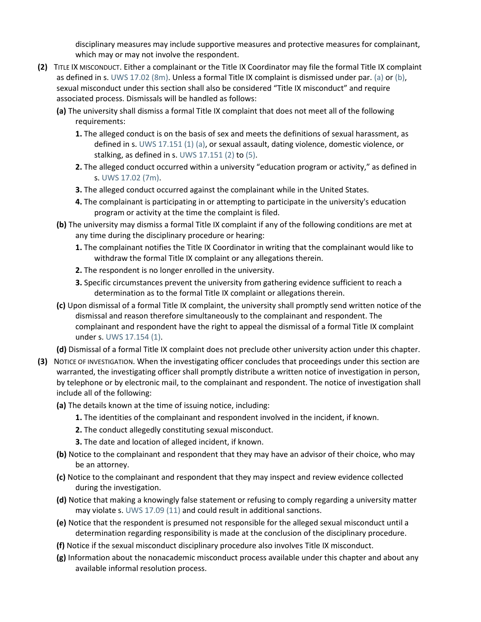disciplinary measures may include supportive measures and protective measures for complainant, which may or may not involve the respondent.

- **(2)** TITLE IX MISCONDUCT. Either a complainant or the Title IX Coordinator may file the formal Title IX complaint as defined in s. [UWS 17.02 \(8m\).](https://docs.legis.wisconsin.gov/document/administrativecode/UWS%2017.02(8m)) Unless a formal Title IX complaint is dismissed under par. [\(a\)](https://docs.legis.wisconsin.gov/document/administrativecode/UWS%2017.152(2)(a)) or [\(b\),](https://docs.legis.wisconsin.gov/document/administrativecode/UWS%2017.152(2)(b)) sexual misconduct under this section shall also be considered "Title IX misconduct" and require associated process. Dismissals will be handled as follows:
	- **(a)** The university shall dismiss a formal Title IX complaint that does not meet all of the following requirements:
		- **1.** The alleged conduct is on the basis of sex and meets the definitions of sexual harassment, as defined in s. [UWS 17.151 \(1\) \(a\),](https://docs.legis.wisconsin.gov/document/administrativecode/UWS%2017.151(1)(a)) or sexual assault, dating violence, domestic violence, or stalking, as defined in s. [UWS 17.151 \(2\)](https://docs.legis.wisconsin.gov/document/administrativecode/UWS%2017.151(2)) to [\(5\).](https://docs.legis.wisconsin.gov/document/administrativecode/UWS%2017.151(5))
		- **2.** The alleged conduct occurred within a university "education program or activity," as defined in s. [UWS 17.02 \(7m\).](https://docs.legis.wisconsin.gov/document/administrativecode/UWS%2017.02(7m))
		- **3.** The alleged conduct occurred against the complainant while in the United States.
		- **4.** The complainant is participating in or attempting to participate in the university's education program or activity at the time the complaint is filed.
	- **(b)** The university may dismiss a formal Title IX complaint if any of the following conditions are met at any time during the disciplinary procedure or hearing:
		- **1.** The complainant notifies the Title IX Coordinator in writing that the complainant would like to withdraw the formal Title IX complaint or any allegations therein.
		- **2.** The respondent is no longer enrolled in the university.
		- **3.** Specific circumstances prevent the university from gathering evidence sufficient to reach a determination as to the formal Title IX complaint or allegations therein.
	- **(c)** Upon dismissal of a formal Title IX complaint, the university shall promptly send written notice of the dismissal and reason therefore simultaneously to the complainant and respondent. The complainant and respondent have the right to appeal the dismissal of a formal Title IX complaint under s. [UWS 17.154 \(1\).](https://docs.legis.wisconsin.gov/document/administrativecode/UWS%2017.154(1))

**(d)** Dismissal of a formal Title IX complaint does not preclude other university action under this chapter.

- **(3)** NOTICE OF INVESTIGATION. When the investigating officer concludes that proceedings under this section are warranted, the investigating officer shall promptly distribute a written notice of investigation in person, by telephone or by electronic mail, to the complainant and respondent. The notice of investigation shall include all of the following:
	- **(a)** The details known at the time of issuing notice, including:
		- **1.** The identities of the complainant and respondent involved in the incident, if known.
		- **2.** The conduct allegedly constituting sexual misconduct.
		- **3.** The date and location of alleged incident, if known.
	- **(b)** Notice to the complainant and respondent that they may have an advisor of their choice, who may be an attorney.
	- **(c)** Notice to the complainant and respondent that they may inspect and review evidence collected during the investigation.
	- **(d)** Notice that making a knowingly false statement or refusing to comply regarding a university matter may violate s. [UWS 17.09 \(11\)](https://docs.legis.wisconsin.gov/document/administrativecode/UWS%2017.09(11)) and could result in additional sanctions.
	- **(e)** Notice that the respondent is presumed not responsible for the alleged sexual misconduct until a determination regarding responsibility is made at the conclusion of the disciplinary procedure.
	- **(f)** Notice if the sexual misconduct disciplinary procedure also involves Title IX misconduct.
	- **(g)** Information about the nonacademic misconduct process available under this chapter and about any available informal resolution process.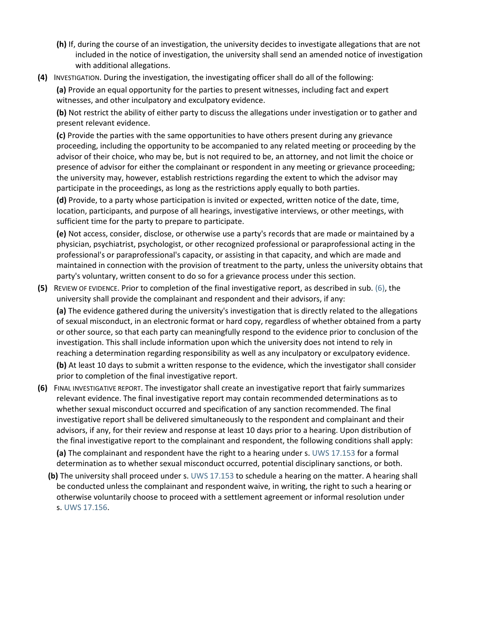- **(h)** If, during the course of an investigation, the university decides to investigate allegations that are not included in the notice of investigation, the university shall send an amended notice of investigation with additional allegations.
- **(4)** INVESTIGATION. During the investigation, the investigating officer shall do all of the following:

**(a)** Provide an equal opportunity for the parties to present witnesses, including fact and expert witnesses, and other inculpatory and exculpatory evidence.

**(b)** Not restrict the ability of either party to discuss the allegations under investigation or to gather and present relevant evidence.

**(c)** Provide the parties with the same opportunities to have others present during any grievance proceeding, including the opportunity to be accompanied to any related meeting or proceeding by the advisor of their choice, who may be, but is not required to be, an attorney, and not limit the choice or presence of advisor for either the complainant or respondent in any meeting or grievance proceeding; the university may, however, establish restrictions regarding the extent to which the advisor may participate in the proceedings, as long as the restrictions apply equally to both parties.

**(d)** Provide, to a party whose participation is invited or expected, written notice of the date, time, location, participants, and purpose of all hearings, investigative interviews, or other meetings, with sufficient time for the party to prepare to participate.

**(e)** Not access, consider, disclose, or otherwise use a party's records that are made or maintained by a physician, psychiatrist, psychologist, or other recognized professional or paraprofessional acting in the professional's or paraprofessional's capacity, or assisting in that capacity, and which are made and maintained in connection with the provision of treatment to the party, unless the university obtains that party's voluntary, written consent to do so for a grievance process under this section.

**(5)** REVIEW OF EVIDENCE. Prior to completion of the final investigative report, as described in sub. [\(6\),](https://docs.legis.wisconsin.gov/document/administrativecode/UWS%2017.152(6)) the university shall provide the complainant and respondent and their advisors, if any:

**(a)** The evidence gathered during the university's investigation that is directly related to the allegations of sexual misconduct, in an electronic format or hard copy, regardless of whether obtained from a party or other source, so that each party can meaningfully respond to the evidence prior to conclusion of the investigation. This shall include information upon which the university does not intend to rely in reaching a determination regarding responsibility as well as any inculpatory or exculpatory evidence.

**(b)** At least 10 days to submit a written response to the evidence, which the investigator shall consider prior to completion of the final investigative report.

**(6)** FINAL INVESTIGATIVE REPORT. The investigator shall create an investigative report that fairly summarizes relevant evidence. The final investigative report may contain recommended determinations as to whether sexual misconduct occurred and specification of any sanction recommended. The final investigative report shall be delivered simultaneously to the respondent and complainant and their advisors, if any, for their review and response at least 10 days prior to a hearing. Upon distribution of the final investigative report to the complainant and respondent, the following conditions shall apply:

**(a)** The complainant and respondent have the right to a hearing under s. [UWS 17.153](https://docs.legis.wisconsin.gov/document/administrativecode/UWS%2017.153) for a formal determination as to whether sexual misconduct occurred, potential disciplinary sanctions, or both.

**(b)** The university shall proceed under s. [UWS 17.153](https://docs.legis.wisconsin.gov/document/administrativecode/UWS%2017.153) to schedule a hearing on the matter. A hearing shall be conducted unless the complainant and respondent waive, in writing, the right to such a hearing or otherwise voluntarily choose to proceed with a settlement agreement or informal resolution under s. [UWS 17.156.](https://docs.legis.wisconsin.gov/document/administrativecode/UWS%2017.156)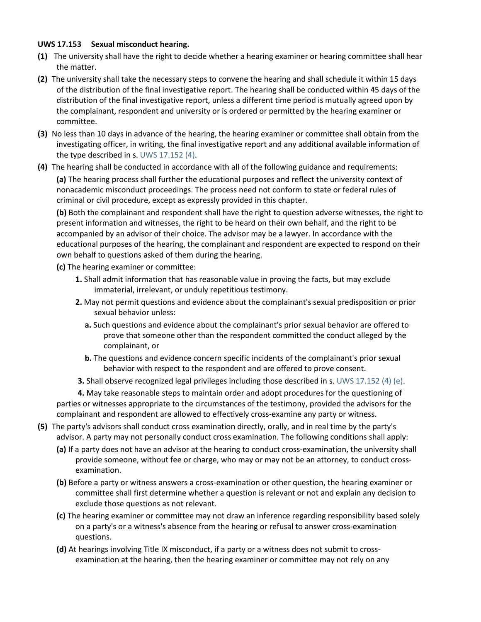## **UWS 17.153 Sexual misconduct hearing.**

- **(1)** The university shall have the right to decide whether a hearing examiner or hearing committee shall hear the matter.
- **(2)** The university shall take the necessary steps to convene the hearing and shall schedule it within 15 days of the distribution of the final investigative report. The hearing shall be conducted within 45 days of the distribution of the final investigative report, unless a different time period is mutually agreed upon by the complainant, respondent and university or is ordered or permitted by the hearing examiner or committee.
- **(3)** No less than 10 days in advance of the hearing, the hearing examiner or committee shall obtain from the investigating officer, in writing, the final investigative report and any additional available information of the type described in s. [UWS 17.152 \(4\).](https://docs.legis.wisconsin.gov/document/administrativecode/UWS%2017.152(4))
- **(4)** The hearing shall be conducted in accordance with all of the following guidance and requirements:

**(a)** The hearing process shall further the educational purposes and reflect the university context of nonacademic misconduct proceedings. The process need not conform to state or federal rules of criminal or civil procedure, except as expressly provided in this chapter.

**(b)** Both the complainant and respondent shall have the right to question adverse witnesses, the right to present information and witnesses, the right to be heard on their own behalf, and the right to be accompanied by an advisor of their choice. The advisor may be a lawyer. In accordance with the educational purposes of the hearing, the complainant and respondent are expected to respond on their own behalf to questions asked of them during the hearing.

- **(c)** The hearing examiner or committee:
	- **1.** Shall admit information that has reasonable value in proving the facts, but may exclude immaterial, irrelevant, or unduly repetitious testimony.
	- **2.** May not permit questions and evidence about the complainant's sexual predisposition or prior sexual behavior unless:
		- **a.** Such questions and evidence about the complainant's prior sexual behavior are offered to prove that someone other than the respondent committed the conduct alleged by the complainant, or
		- **b.** The questions and evidence concern specific incidents of the complainant's prior sexual behavior with respect to the respondent and are offered to prove consent.
	- **3.** Shall observe recognized legal privileges including those described in s. [UWS 17.152 \(4\) \(e\).](https://docs.legis.wisconsin.gov/document/administrativecode/UWS%2017.152(4)(e))

**4.** May take reasonable steps to maintain order and adopt procedures for the questioning of parties or witnesses appropriate to the circumstances of the testimony, provided the advisors for the complainant and respondent are allowed to effectively cross-examine any party or witness.

- **(5)** The party's advisors shall conduct cross examination directly, orally, and in real time by the party's advisor. A party may not personally conduct cross examination. The following conditions shall apply:
	- **(a)** If a party does not have an advisor at the hearing to conduct cross-examination, the university shall provide someone, without fee or charge, who may or may not be an attorney, to conduct crossexamination.
	- **(b)** Before a party or witness answers a cross-examination or other question, the hearing examiner or committee shall first determine whether a question is relevant or not and explain any decision to exclude those questions as not relevant.
	- **(c)** The hearing examiner or committee may not draw an inference regarding responsibility based solely on a party's or a witness's absence from the hearing or refusal to answer cross-examination questions.
	- **(d)** At hearings involving Title IX misconduct, if a party or a witness does not submit to crossexamination at the hearing, then the hearing examiner or committee may not rely on any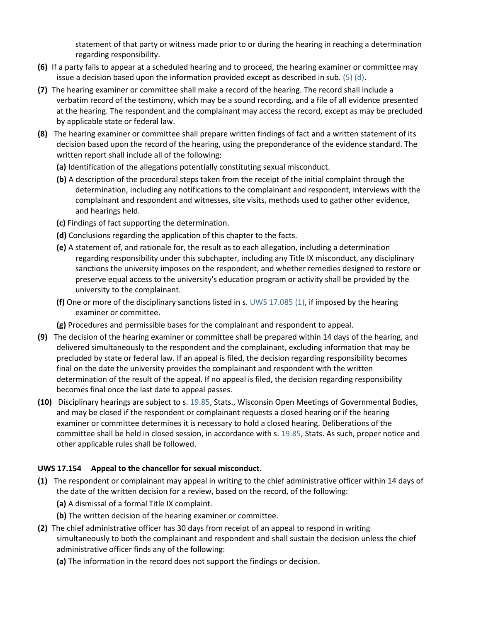statement of that party or witness made prior to or during the hearing in reaching a determination regarding responsibility.

- **(6)** If a party fails to appear at a scheduled hearing and to proceed, the hearing examiner or committee may issue a decision based upon the information provided except as described in sub.  $(5)$   $(d)$ .
- **(7)** The hearing examiner or committee shall make a record of the hearing. The record shall include a verbatim record of the testimony, which may be a sound recording, and a file of all evidence presented at the hearing. The respondent and the complainant may access the record, except as may be precluded by applicable state or federal law.
- **(8)** The hearing examiner or committee shall prepare written findings of fact and a written statement of its decision based upon the record of the hearing, using the preponderance of the evidence standard. The written report shall include all of the following:
	- **(a)** Identification of the allegations potentially constituting sexual misconduct.
	- **(b)** A description of the procedural steps taken from the receipt of the initial complaint through the determination, including any notifications to the complainant and respondent, interviews with the complainant and respondent and witnesses, site visits, methods used to gather other evidence, and hearings held.
	- **(c)** Findings of fact supporting the determination.
	- **(d)** Conclusions regarding the application of this chapter to the facts.
	- **(e)** A statement of, and rationale for, the result as to each allegation, including a determination regarding responsibility under this subchapter, including any Title IX misconduct, any disciplinary sanctions the university imposes on the respondent, and whether remedies designed to restore or preserve equal access to the university's education program or activity shall be provided by the university to the complainant.
	- **(f)** One or more of the disciplinary sanctions listed in s. [UWS 17.085 \(1\),](https://docs.legis.wisconsin.gov/document/administrativecode/UWS%2017.085(1)) if imposed by the hearing examiner or committee.
	- **(g)** Procedures and permissible bases for the complainant and respondent to appeal.
- **(9)** The decision of the hearing examiner or committee shall be prepared within 14 days of the hearing, and delivered simultaneously to the respondent and the complainant, excluding information that may be precluded by state or federal law. If an appeal is filed, the decision regarding responsibility becomes final on the date the university provides the complainant and respondent with the written determination of the result of the appeal. If no appeal is filed, the decision regarding responsibility becomes final once the last date to appeal passes.
- **(10)** Disciplinary hearings are subject to s. [19.85,](https://docs.legis.wisconsin.gov/document/statutes/19.85) Stats., Wisconsin Open Meetings of Governmental Bodies, and may be closed if the respondent or complainant requests a closed hearing or if the hearing examiner or committee determines it is necessary to hold a closed hearing. Deliberations of the committee shall be held in closed session, in accordance with s. [19.85,](https://docs.legis.wisconsin.gov/document/statutes/19.85) Stats. As such, proper notice and other applicable rules shall be followed.

# **UWS 17.154 Appeal to the chancellor for sexual misconduct.**

- **(1)** The respondent or complainant may appeal in writing to the chief administrative officer within 14 days of the date of the written decision for a review, based on the record, of the following:
	- **(a)** A dismissal of a formal Title IX complaint.
	- **(b)** The written decision of the hearing examiner or committee.
- **(2)** The chief administrative officer has 30 days from receipt of an appeal to respond in writing simultaneously to both the complainant and respondent and shall sustain the decision unless the chief administrative officer finds any of the following:
	- **(a)** The information in the record does not support the findings or decision.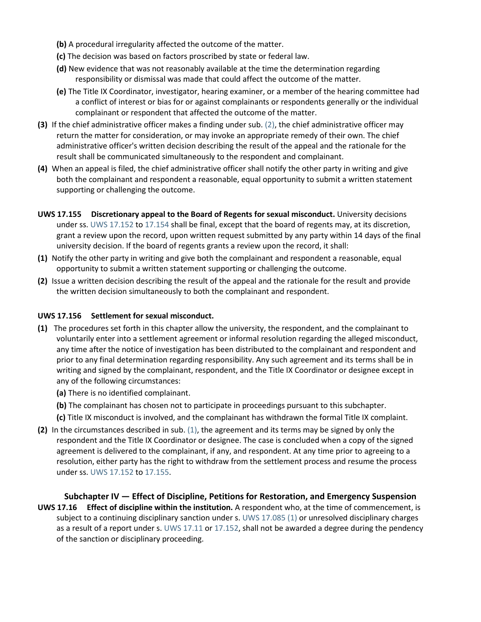- **(b)** A procedural irregularity affected the outcome of the matter.
- **(c)** The decision was based on factors proscribed by state or federal law.
- **(d)** New evidence that was not reasonably available at the time the determination regarding responsibility or dismissal was made that could affect the outcome of the matter.
- **(e)** The Title IX Coordinator, investigator, hearing examiner, or a member of the hearing committee had a conflict of interest or bias for or against complainants or respondents generally or the individual complainant or respondent that affected the outcome of the matter.
- **(3)** If the chief administrative officer makes a finding under sub. [\(2\),](https://docs.legis.wisconsin.gov/document/administrativecode/UWS%2017.154(2)) the chief administrative officer may return the matter for consideration, or may invoke an appropriate remedy of their own. The chief administrative officer's written decision describing the result of the appeal and the rationale for the result shall be communicated simultaneously to the respondent and complainant.
- **(4)** When an appeal is filed, the chief administrative officer shall notify the other party in writing and give both the complainant and respondent a reasonable, equal opportunity to submit a written statement supporting or challenging the outcome.
- **UWS 17.155 Discretionary appeal to the Board of Regents for sexual misconduct.** University decisions under ss. [UWS 17.152](https://docs.legis.wisconsin.gov/document/administrativecode/UWS%2017.152) to [17.154](https://docs.legis.wisconsin.gov/document/administrativecode/UWS%2017.154) shall be final, except that the board of regents may, at its discretion, grant a review upon the record, upon written request submitted by any party within 14 days of the final university decision. If the board of regents grants a review upon the record, it shall:
- **(1)** Notify the other party in writing and give both the complainant and respondent a reasonable, equal opportunity to submit a written statement supporting or challenging the outcome.
- **(2)** Issue a written decision describing the result of the appeal and the rationale for the result and provide the written decision simultaneously to both the complainant and respondent.

# **UWS 17.156 Settlement for sexual misconduct.**

- **(1)** The procedures set forth in this chapter allow the university, the respondent, and the complainant to voluntarily enter into a settlement agreement or informal resolution regarding the alleged misconduct, any time after the notice of investigation has been distributed to the complainant and respondent and prior to any final determination regarding responsibility. Any such agreement and its terms shall be in writing and signed by the complainant, respondent, and the Title IX Coordinator or designee except in any of the following circumstances:
	- **(a)** There is no identified complainant.
	- **(b)** The complainant has chosen not to participate in proceedings pursuant to this subchapter.
	- **(c)** Title IX misconduct is involved, and the complainant has withdrawn the formal Title IX complaint.
- **(2)** In the circumstances described in sub. [\(1\),](https://docs.legis.wisconsin.gov/document/administrativecode/UWS%2017.156(1)) the agreement and its terms may be signed by only the respondent and the Title IX Coordinator or designee. The case is concluded when a copy of the signed agreement is delivered to the complainant, if any, and respondent. At any time prior to agreeing to a resolution, either party has the right to withdraw from the settlement process and resume the process under ss. [UWS 17.152](https://docs.legis.wisconsin.gov/document/administrativecode/UWS%2017.152) to [17.155.](https://docs.legis.wisconsin.gov/document/administrativecode/UWS%2017.155)

# **Subchapter IV — Effect of Discipline, Petitions for Restoration, and Emergency Suspension UWS 17.16 Effect of discipline within the institution.** A respondent who, at the time of commencement, is subject to a continuing disciplinary sanction under s. [UWS 17.085 \(1\)](https://docs.legis.wisconsin.gov/document/administrativecode/UWS%2017.085(1)) or unresolved disciplinary charges as a result of a report under s. [UWS 17.11](https://docs.legis.wisconsin.gov/document/administrativecode/UWS%2017.11) or [17.152,](https://docs.legis.wisconsin.gov/document/administrativecode/UWS%2017.152) shall not be awarded a degree during the pendency of the sanction or disciplinary proceeding.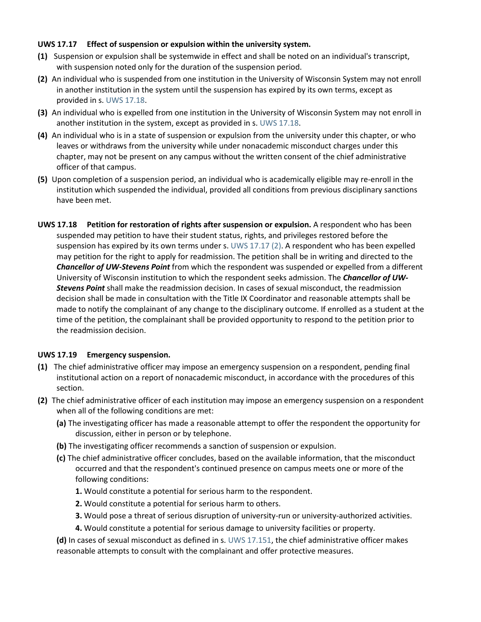#### **UWS 17.17 Effect of suspension or expulsion within the university system.**

- **(1)** Suspension or expulsion shall be systemwide in effect and shall be noted on an individual's transcript, with suspension noted only for the duration of the suspension period.
- **(2)** An individual who is suspended from one institution in the University of Wisconsin System may not enroll in another institution in the system until the suspension has expired by its own terms, except as provided in s. [UWS 17.18.](https://docs.legis.wisconsin.gov/document/administrativecode/UWS%2017.18)
- **(3)** An individual who is expelled from one institution in the University of Wisconsin System may not enroll in another institution in the system, except as provided in s. [UWS 17.18.](https://docs.legis.wisconsin.gov/document/administrativecode/UWS%2017.18)
- **(4)** An individual who is in a state of suspension or expulsion from the university under this chapter, or who leaves or withdraws from the university while under nonacademic misconduct charges under this chapter, may not be present on any campus without the written consent of the chief administrative officer of that campus.
- **(5)** Upon completion of a suspension period, an individual who is academically eligible may re-enroll in the institution which suspended the individual, provided all conditions from previous disciplinary sanctions have been met.
- **UWS 17.18 Petition for restoration of rights after suspension or expulsion.** A respondent who has been suspended may petition to have their student status, rights, and privileges restored before the suspension has expired by its own terms under s. [UWS 17.17 \(2\).](https://docs.legis.wisconsin.gov/document/administrativecode/UWS%2017.17(2)) A respondent who has been expelled may petition for the right to apply for readmission. The petition shall be in writing and directed to the *Chancellor of UW-Stevens Point* from which the respondent was suspended or expelled from a different University of Wisconsin institution to which the respondent seeks admission. The *Chancellor of UW-Stevens Point* shall make the readmission decision. In cases of sexual misconduct, the readmission decision shall be made in consultation with the Title IX Coordinator and reasonable attempts shall be made to notify the complainant of any change to the disciplinary outcome. If enrolled as a student at the time of the petition, the complainant shall be provided opportunity to respond to the petition prior to the readmission decision.

#### **UWS 17.19 Emergency suspension.**

- **(1)** The chief administrative officer may impose an emergency suspension on a respondent, pending final institutional action on a report of nonacademic misconduct, in accordance with the procedures of this section.
- **(2)** The chief administrative officer of each institution may impose an emergency suspension on a respondent when all of the following conditions are met:
	- **(a)** The investigating officer has made a reasonable attempt to offer the respondent the opportunity for discussion, either in person or by telephone.
	- **(b)** The investigating officer recommends a sanction of suspension or expulsion.
	- **(c)** The chief administrative officer concludes, based on the available information, that the misconduct occurred and that the respondent's continued presence on campus meets one or more of the following conditions:
		- **1.** Would constitute a potential for serious harm to the respondent.
		- **2.** Would constitute a potential for serious harm to others.
		- **3.** Would pose a threat of serious disruption of university-run or university-authorized activities.
		- **4.** Would constitute a potential for serious damage to university facilities or property.

**(d)** In cases of sexual misconduct as defined in s. [UWS 17.151,](https://docs.legis.wisconsin.gov/document/administrativecode/UWS%2017.151) the chief administrative officer makes reasonable attempts to consult with the complainant and offer protective measures.